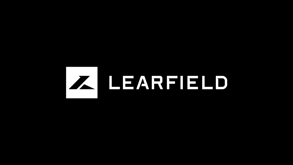# Z LEARFIELD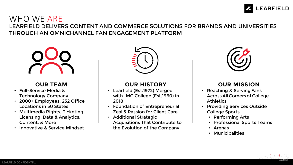

## WHO WE ARE LEARFIELD DELIVERS CONTENT AND COMMERCE SOLUTIONS FOR BRANDS AND UNIVERSITIES THROUGH AN OMNICHANNEL FAN ENGAGEMENT PLATFORM



## **OUR TEAM**

- Full-Service Media & Technology Company
- 2000+ Employees, 232 Office Locations in 50 States
- Multimedia Rights, Ticketing, Licensing, Data & Analytics, Content, & More
- Innovative & Service Mindset



# **OUR HISTORY**

- Learfield (Est.1972) Merged with IMG College (Est.1960) in 2018
- Foundation of Entrepreneurial Zeal & Passion for Client Care
- Additional Strategic Acquisitions That Contribute to the Evolution of the Company



# **OUR MISSION**

- Reaching & Serving Fans Across All Corners of College **Athletics**
- Providing Services Outside College Sports
	- Performing Arts
	- Professional Sports Teams
	- Arenas
	- Municipalities

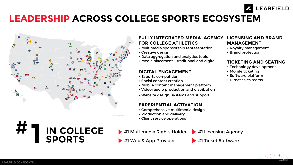# **LEADERSHIP ACROSS COLLEGE SPORTS ECOSYSTEM**



**IN COLLEGE** 

**SPORTS**

#### **FULLY INTEGRATED MEDIA AGENCY FOR COLLEGE ATHLETICS LICENSING AND BRAND MANAGEMENT**

- Multimedia sponsorship representation
- Creative design
- Data aggregation and analytics tools
- Media placement traditional and digital

### **DIGITAL ENGAGEMENT**

- Esports competition
- Social content creation
- Mobile content management platform
- Video/audio production and distribution
- Website design, systems and support

## **EXPERIENTIAL ACTIVATION**

- Comprehensive multimedia design
- Production and delivery
- Client service operations

#1 Multimedia Rights Holder > #1 Licensing Agency

#1 Web & App Provider **#1 Ticket Software** 



- Royalty management
- Brand protection

## **TICKETING AND SEATING**

**EARFIELD** 

- Technology development
- Mobile ticketing
- Software platform
- Direct sales teams

**1** #